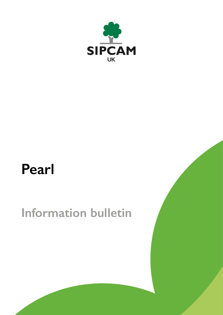

# **Pearl**

# **Information bulletin**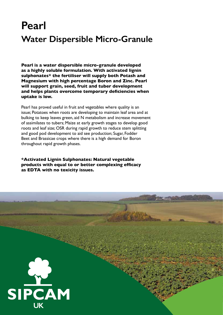### **Pearl Water Dispersible Micro-Granule**

**Pearl is a water dispersible micro-granule developed as a highly soluble formulation. With activated lignin sulphonates\* the fertiliser will supply both Potash and Magnesium with high percentage Boron and Zinc. Pearl will support grain, seed, fruit and tuber development and helps plants overcome temporary deficiencies when uptake is low.**

Pearl has proved useful in fruit and vegetables where quality is an issue; Potatoes when roots are developing to maintain leaf area and at bulking to keep leaves green, aid N metabolism and increase movement of assimilates to tubers; Maize at early growth stages to develop good roots and leaf size; OSR during rapid growth to reduce stem splitting and good pod development to aid see production; Sugar, Fodder Beet and Brassicae crops where there is a high demand for Boron throughout rapid growth phases.

**\*Activated Lignin Sulphonates: Natural vegetable products with equal to or better complexing efficacy as EDTA with no toxicity issues.**

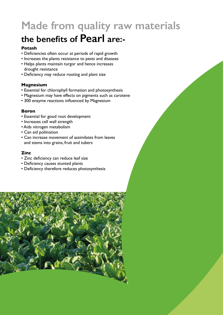# **Made from quality raw materials**

### **the benefits of Pearl are:-**

#### **Potash**

- Deficiencies often occur at periods of rapid growth
- Increases the plants resistance to pests and diseases
- Helps plants maintain turgor and hence increases drought resistance
- Deficiency may reduce rooting and plant size

#### **Magnesium**

- Essential for chlorophyll formation and photosynthesis
- Magnesium may have effects on pigments such as carotene
- 300 enzyme reactions influenced by Magnesium

#### **Boron**

- Essential for good root development
- Increases cell wall strength
- Aids nitrogen metabolism
- Can aid poliination
- Can increase movement of assimilates from leaves and stems into grains, fruit and tubers

#### **Zinc**

- Zinc deficiency can reduce leaf size
- Deficiency causes stunted plants
- Deficiency therefore reduces photosynthesis

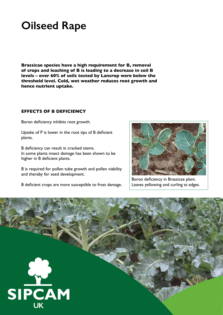## **Oilseed Rape**

**Brassicae species have a high requirement for B, removal of crops and leaching of B is leading to a decrease in soil B levels – over 60% of soils tested by Lancrop were below the threshold level. Cold, wet weather reduces root growth and hence nutrient uptake.**

#### **EFFECTS OF B DEFICIENCY**

Boron deficiency inhibits root growth.

Uptake of P is lower in the root tips of B deficient plants.

B deficiency can result in cracked stems. In some plants insect damage has been shown to be higher in B deficient plants.

B is required for pollen tube growth and pollen viability and thereby for seed development.

B deficient crops are more susceptible to frost damage.



Boron deficiency in Brassicae plant. Leaves yellowing and curling at edges.

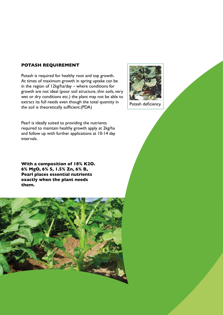#### **POTASH REQUIREMENT**

Potash is required for healthy root and top growth. At times of maximum growth in spring uptake can be in the region of 12kg/ha/day – where conditions for growth are not ideal (poor soil structure, thin soils, very wet or dry conditions etc.) the plant may not be able to extract its full needs even though the total quantity in the soil is theoretically sufficient.(PDA)



Potash deficiency.

Pearl is ideally suited to providing the nutrients required to maintain healthy growth apply at 2kg/ha and follow up with further applications at 10-14 day intervals.

**With a composition of 18% K2O. 6% MgO, 6% S, 1.5% Zn, 6% B, Pearl places essential nutrients exactly when the plant needs them.**

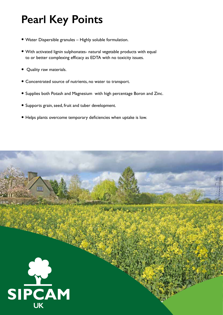## **Pearl Key Points**

- Water Dispersible granules Highly soluble formulation.
- With activated lignin sulphonates- natural vegetable products with equal to or better complexing efficacy as EDTA with no toxicity issues.
- Quality raw materials.
- Concentrated source of nutrients, no water to transport.
- Supplies both Potash and Magnesium with high percentage Boron and Zinc.
- Supports grain, seed, fruit and tuber development.
- Helps plants overcome temporary deficiencies when uptake is low.

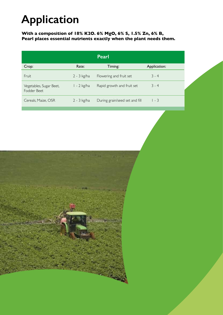## **Application**

**With a composition of 18% K2O. 6% MgO, 6% S, 1.5% Zn, 6% B, Pearl places essential nutrients exactly when the plant needs them.**

| Pearl                                  |               |                                |              |
|----------------------------------------|---------------|--------------------------------|--------------|
| Crop:                                  | Rate:         | Timing:                        | Application: |
| Fruit                                  | $2 - 3$ kg/ha | Flowering and fruit set        | $3 - 4$      |
| Vegetables, Sugar Beet,<br>Fodder Beet | $1 - 2$ kg/ha | Rapid growth and fruit set     | $3 - 4$      |
| Cereals, Maize, OSR                    | $2 - 3$ kg/ha | During grain/seed set and fill | $1 - 3$      |